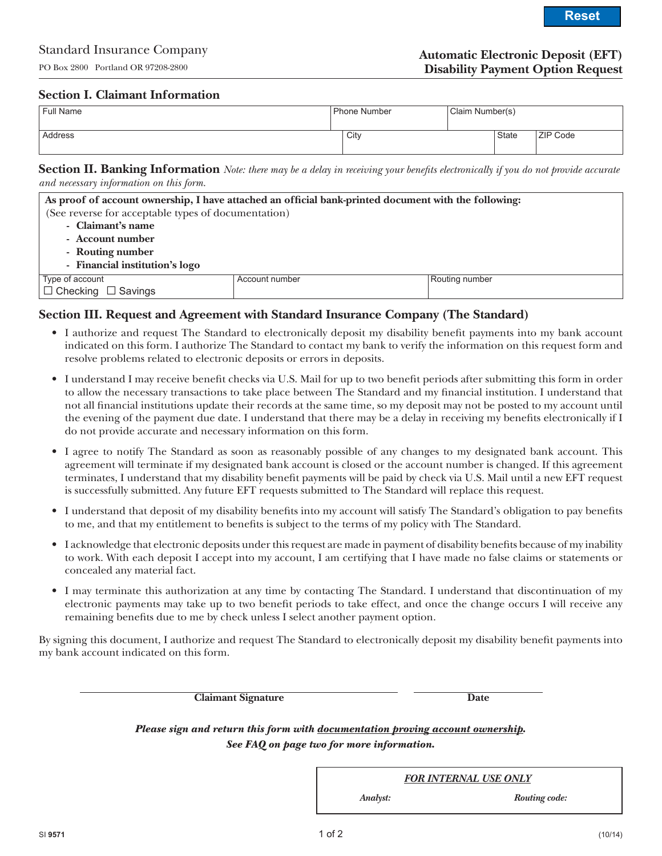## **Section I. Claimant Information**

| <sup>I</sup> Full Name | Phone Number | Claim Number(s) |              |                 |
|------------------------|--------------|-----------------|--------------|-----------------|
| Address                | City         |                 | <b>State</b> | <b>ZIP Code</b> |

**Section II. Banking Information** *Note: there may be a delay in receiving your benefits electronically if you do not provide accurate and necessary information on this form.*

| As proof of account ownership, I have attached an official bank-printed document with the following: |                |                |  |  |
|------------------------------------------------------------------------------------------------------|----------------|----------------|--|--|
| (See reverse for acceptable types of documentation)                                                  |                |                |  |  |
| - Claimant's name                                                                                    |                |                |  |  |
| - Account number                                                                                     |                |                |  |  |
| - Routing number                                                                                     |                |                |  |  |
| - Financial institution's logo                                                                       |                |                |  |  |
| Type of account                                                                                      | Account number | Routing number |  |  |
| $\Box$ Checking $\Box$ Savings                                                                       |                |                |  |  |

# **Section III. Request and Agreement with Standard Insurance Company (The Standard)**

- • I authorize and request The Standard to electronically deposit my disability benefit payments into my bank account indicated on this form. I authorize The Standard to contact my bank to verify the information on this request form and resolve problems related to electronic deposits or errors in deposits.
- • I understand I may receive benefit checks via U.S. Mail for up to two benefit periods after submitting this form in order to allow the necessary transactions to take place between The Standard and my financial institution. I understand that not all financial institutions update their records at the same time, so my deposit may not be posted to my account until the evening of the payment due date. I understand that there may be a delay in receiving my benefits electronically if I do not provide accurate and necessary information on this form.
- • I agree to notify The Standard as soon as reasonably possible of any changes to my designated bank account. This agreement will terminate if my designated bank account is closed or the account number is changed. If this agreement terminates, I understand that my disability benefit payments will be paid by check via U.S. Mail until a new EFT request is successfully submitted. Any future EFT requests submitted to The Standard will replace this request.
- • I understand that deposit of my disability benefits into my account will satisfy The Standard's obligation to pay benefits to me, and that my entitlement to benefits is subject to the terms of my policy with The Standard.
- • I acknowledge that electronic deposits under this request are made in payment of disability benefits because of my inability to work. With each deposit I accept into my account, I am certifying that I have made no false claims or statements or concealed any material fact.
- • I may terminate this authorization at any time by contacting The Standard. I understand that discontinuation of my electronic payments may take up to two benefit periods to take effect, and once the change occurs I will receive any remaining benefits due to me by check unless I select another payment option.

By signing this document, I authorize and request The Standard to electronically deposit my disability benefit payments into my bank account indicated on this form.

**Claimant Signature Date**

*Please sign and return this form with documentation proving account ownership. See FAQ on page two for more information.*

*FOR INTERNAL USE ONLY*

*Analyst: Routing code:*